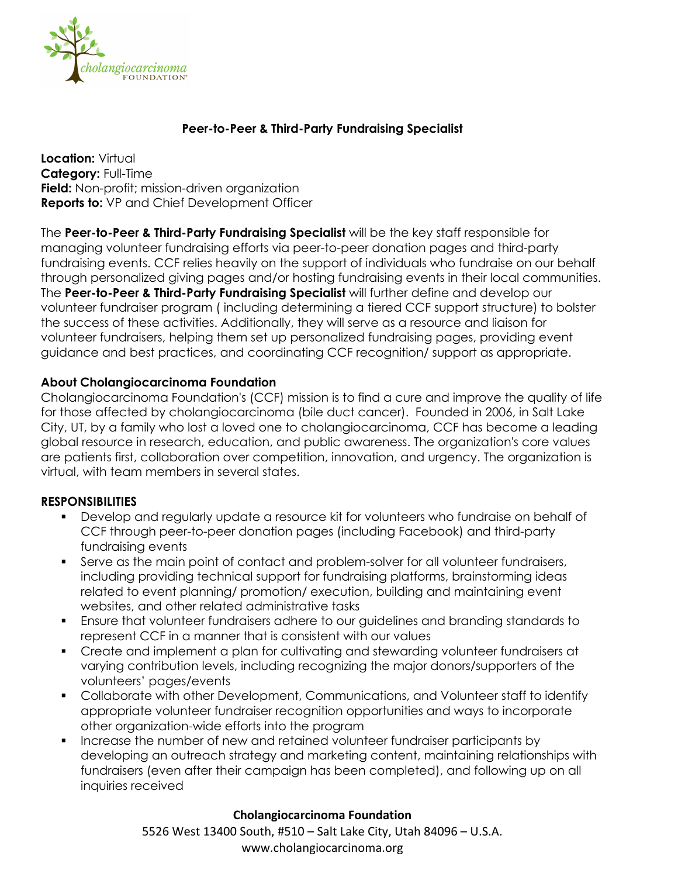

## **Peer-to-Peer & Third-Party Fundraising Specialist**

**Location:** Virtual **Category:** Full-Time **Field:** Non-profit; mission-driven organization **Reports to:** VP and Chief Development Officer

The **Peer-to-Peer & Third-Party Fundraising Specialist** will be the key staff responsible for managing volunteer fundraising efforts via peer-to-peer donation pages and third-party fundraising events. CCF relies heavily on the support of individuals who fundraise on our behalf through personalized giving pages and/or hosting fundraising events in their local communities. The **Peer-to-Peer & Third-Party Fundraising Specialist** will further define and develop our volunteer fundraiser program ( including determining a tiered CCF support structure) to bolster the success of these activities. Additionally, they will serve as a resource and liaison for volunteer fundraisers, helping them set up personalized fundraising pages, providing event guidance and best practices, and coordinating CCF recognition/ support as appropriate.

### **About Cholangiocarcinoma Foundation**

Cholangiocarcinoma Foundation's (CCF) mission is to find a cure and improve the quality of life for those affected by cholangiocarcinoma (bile duct cancer). Founded in 2006, in Salt Lake City, UT, by a family who lost a loved one to cholangiocarcinoma, CCF has become a leading global resource in research, education, and public awareness. The organization's core values are patients first, collaboration over competition, innovation, and urgency. The organization is virtual, with team members in several states.

#### **RESPONSIBILITIES**

- § Develop and regularly update a resource kit for volunteers who fundraise on behalf of CCF through peer-to-peer donation pages (including Facebook) and third-party fundraising events
- § Serve as the main point of contact and problem-solver for all volunteer fundraisers, including providing technical support for fundraising platforms, brainstorming ideas related to event planning/ promotion/ execution, building and maintaining event websites, and other related administrative tasks
- Ensure that volunteer fundraisers adhere to our quidelines and branding standards to represent CCF in a manner that is consistent with our values
- Create and implement a plan for cultivating and stewarding volunteer fundraisers at varying contribution levels, including recognizing the major donors/supporters of the volunteers' pages/events
- § Collaborate with other Development, Communications, and Volunteer staff to identify appropriate volunteer fundraiser recognition opportunities and ways to incorporate other organization-wide efforts into the program
- § Increase the number of new and retained volunteer fundraiser participants by developing an outreach strategy and marketing content, maintaining relationships with fundraisers (even after their campaign has been completed), and following up on all inquiries received

#### **Cholangiocarcinoma Foundation**

5526 West 13400 South, #510 – Salt Lake City, Utah 84096 – U.S.A. www.cholangiocarcinoma.org